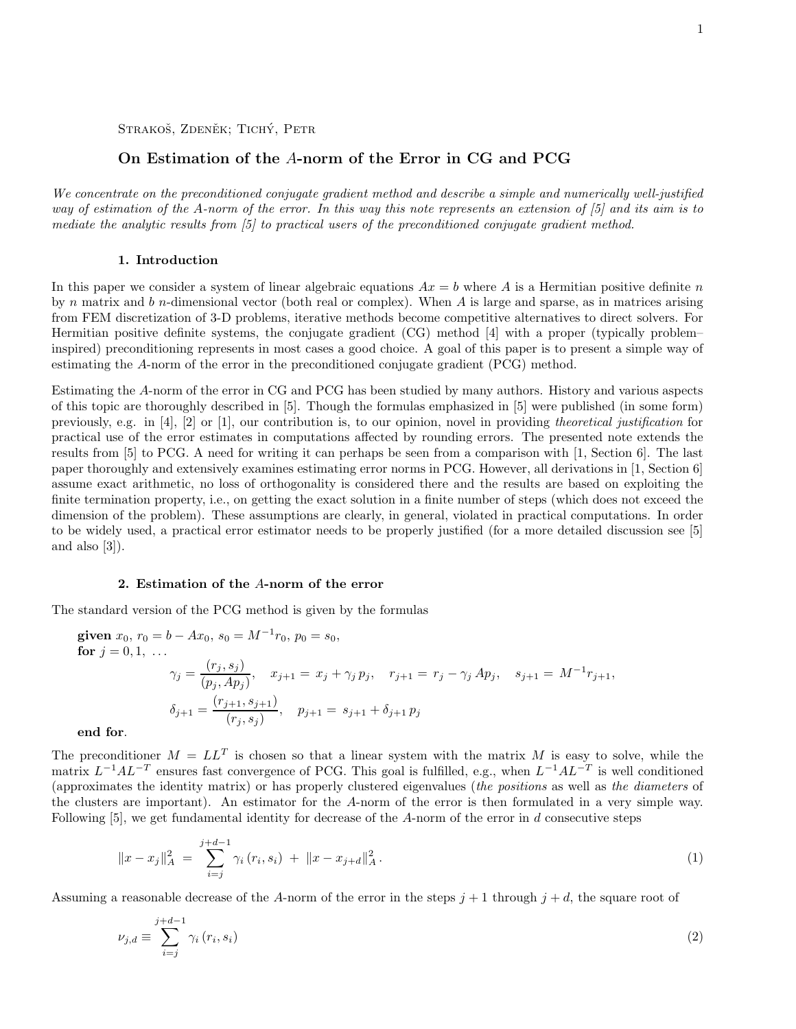STRAKOŠ, ZDENĚK; TICHÝ, PETR

# On Estimation of the A-norm of the Error in CG and PCG

We concentrate on the preconditioned conjugate gradient method and describe a simple and numerically well-justified way of estimation of the A-norm of the error. In this way this note represents an extension of [5] and its aim is to mediate the analytic results from [5] to practical users of the preconditioned conjugate gradient method.

## 1. Introduction

In this paper we consider a system of linear algebraic equations  $Ax = b$  where A is a Hermitian positive definite n by n matrix and b n-dimensional vector (both real or complex). When A is large and sparse, as in matrices arising from FEM discretization of 3-D problems, iterative methods become competitive alternatives to direct solvers. For Hermitian positive definite systems, the conjugate gradient (CG) method [4] with a proper (typically problem– inspired) preconditioning represents in most cases a good choice. A goal of this paper is to present a simple way of estimating the A-norm of the error in the preconditioned conjugate gradient (PCG) method.

Estimating the A-norm of the error in CG and PCG has been studied by many authors. History and various aspects of this topic are thoroughly described in [5]. Though the formulas emphasized in [5] were published (in some form) previously, e.g. in [4], [2] or [1], our contribution is, to our opinion, novel in providing theoretical justification for practical use of the error estimates in computations affected by rounding errors. The presented note extends the results from [5] to PCG. A need for writing it can perhaps be seen from a comparison with [1, Section 6]. The last paper thoroughly and extensively examines estimating error norms in PCG. However, all derivations in [1, Section 6] assume exact arithmetic, no loss of orthogonality is considered there and the results are based on exploiting the finite termination property, i.e., on getting the exact solution in a finite number of steps (which does not exceed the dimension of the problem). These assumptions are clearly, in general, violated in practical computations. In order to be widely used, a practical error estimator needs to be properly justified (for a more detailed discussion see [5] and also [3]).

# 2. Estimation of the A-norm of the error

The standard version of the PCG method is given by the formulas

$$
\begin{aligned}\n\text{given } x_0, \, r_0 &= b - Ax_0, \, s_0 = M^{-1}r_0, \, p_0 = s_0, \\
\text{for } j = 0, 1, \, \dots \\
\gamma_j &= \frac{(r_j, s_j)}{(p_j, Ap_j)}, \quad x_{j+1} = x_j + \gamma_j \, p_j, \quad r_{j+1} = r_j - \gamma_j \, Ap_j, \quad s_{j+1} = M^{-1}r_{j+1}, \\
\delta_{j+1} &= \frac{(r_{j+1}, s_{j+1})}{(r_j, s_j)}, \quad p_{j+1} = s_{j+1} + \delta_{j+1} \, p_j\n\end{aligned}
$$

end for.

The preconditioner  $M = LL^T$  is chosen so that a linear system with the matrix M is easy to solve, while the matrix  $L^{-1}AL^{-T}$  ensures fast convergence of PCG. This goal is fulfilled, e.g., when  $L^{-1}AL^{-T}$  is well conditioned (approximates the identity matrix) or has properly clustered eigenvalues (the positions as well as the diameters of the clusters are important). An estimator for the A-norm of the error is then formulated in a very simple way. Following  $|5|$ , we get fundamental identity for decrease of the A-norm of the error in d consecutive steps

$$
||x - x_j||_A^2 = \sum_{i=j}^{j+d-1} \gamma_i (r_i, s_i) + ||x - x_{j+d}||_A^2.
$$
 (1)

Assuming a reasonable decrease of the A-norm of the error in the steps  $j + 1$  through  $j + d$ , the square root of

$$
\nu_{j,d} \equiv \sum_{i=j}^{j+d-1} \gamma_i \left( r_i, s_i \right) \tag{2}
$$